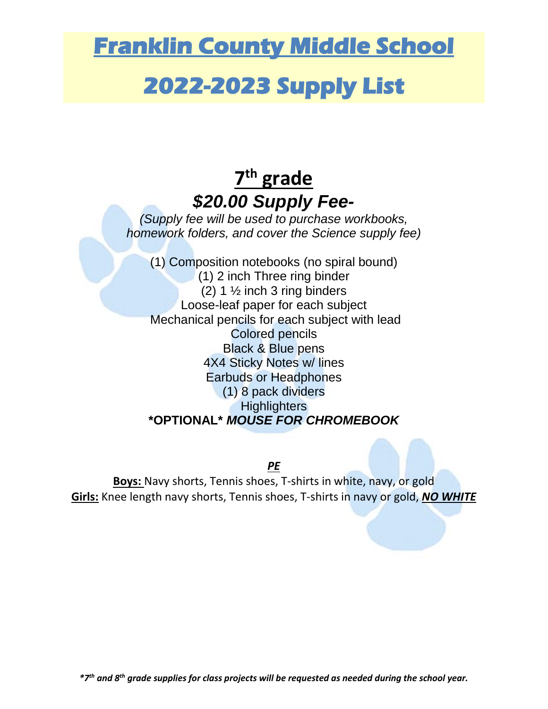### **Franklin County Middle School**

# **2022-2023 Supply List**

### **7 th grade** *\$20.00 Supply Fee-*

*(Supply fee will be used to purchase workbooks, homework folders, and cover the Science supply fee)*

(1) Composition notebooks (no spiral bound) (1) 2 inch Three ring binder  $(2)$  1  $\frac{1}{2}$  inch 3 ring binders Loose-leaf paper for each subject Mechanical pencils for each subject with lead Colored pencils Black & Blue pens 4X4 Sticky Notes w/ lines Earbuds or Headphones (1) 8 pack dividers **Highlighters \*OPTIONAL\*** *MOUSE FOR CHROMEBOOK*

*PE*

**Boys:** Navy shorts, Tennis shoes, T-shirts in white, navy, or gold **Girls:** Knee length navy shorts, Tennis shoes, T-shirts in navy or gold, *NO WHITE*